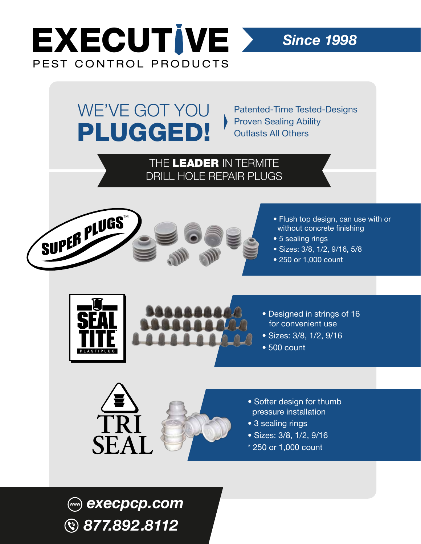

WE'VE GOT YOU

PLUGGED!

Patented-Time Tested-Designs Proven Sealing Ability Outlasts All Others

*Since 1998*

## THE LEADER IN TERMITE DRILL HOLE REPAIR PLUGS





- Flush top design, can use with or without concrete finishing
- 5 sealing rings
- Sizes: 3/8, 1/2, 9/16, 5/8
- 250 or 1,000 count





- Sizes: 3/8, 1/2, 9/16
- 500 count





- Softer design for thumb pressure installation
- 3 sealing rings
- Sizes: 3/8, 1/2, 9/16
- \* 250 or 1,000 count

*execpcp.com 877.892.8112*